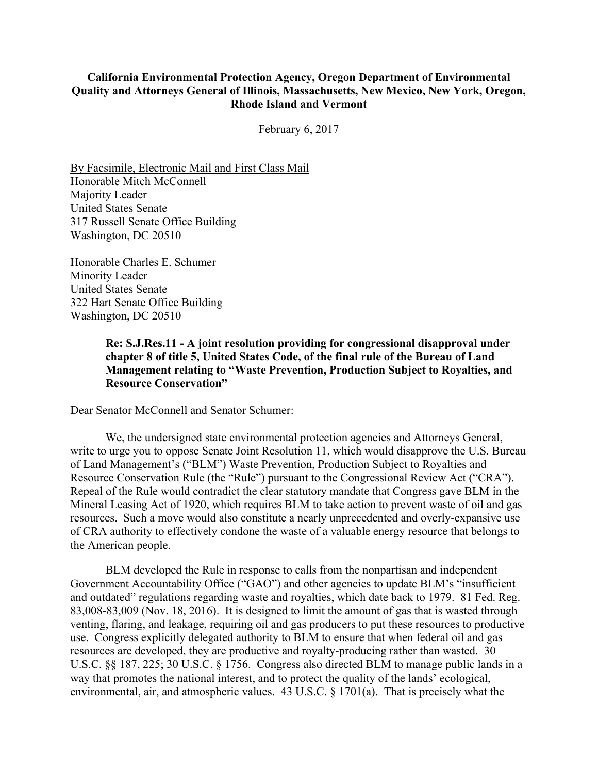## **California Environmental Protection Agency, Oregon Department of Environmental Quality and Attorneys General of Illinois, Massachusetts, New Mexico, New York, Oregon, Rhode Island and Vermont**

February 6, 2017

By Facsimile, Electronic Mail and First Class Mail Honorable Mitch McConnell Majority Leader United States Senate 317 Russell Senate Office Building Washington, DC 20510

Honorable Charles E. Schumer Minority Leader United States Senate 322 Hart Senate Office Building Washington, DC 20510

> **Re: S.J.Res.11 - A joint resolution providing for congressional disapproval under chapter 8 of title 5, United States Code, of the final rule of the Bureau of Land Management relating to "Waste Prevention, Production Subject to Royalties, and Resource Conservation"**

Dear Senator McConnell and Senator Schumer:

We, the undersigned state environmental protection agencies and Attorneys General, write to urge you to oppose Senate Joint Resolution 11, which would disapprove the U.S. Bureau of Land Management's ("BLM") Waste Prevention, Production Subject to Royalties and Resource Conservation Rule (the "Rule") pursuant to the Congressional Review Act ("CRA"). Repeal of the Rule would contradict the clear statutory mandate that Congress gave BLM in the Mineral Leasing Act of 1920, which requires BLM to take action to prevent waste of oil and gas resources. Such a move would also constitute a nearly unprecedented and overly-expansive use of CRA authority to effectively condone the waste of a valuable energy resource that belongs to the American people.

BLM developed the Rule in response to calls from the nonpartisan and independent Government Accountability Office ("GAO") and other agencies to update BLM's "insufficient and outdated" regulations regarding waste and royalties, which date back to 1979. 81 Fed. Reg. 83,008-83,009 (Nov. 18, 2016). It is designed to limit the amount of gas that is wasted through venting, flaring, and leakage, requiring oil and gas producers to put these resources to productive use. Congress explicitly delegated authority to BLM to ensure that when federal oil and gas resources are developed, they are productive and royalty-producing rather than wasted. 30 U.S.C. §§ 187, 225; 30 U.S.C. § 1756. Congress also directed BLM to manage public lands in a way that promotes the national interest, and to protect the quality of the lands' ecological, environmental, air, and atmospheric values. 43 U.S.C. § 1701(a). That is precisely what the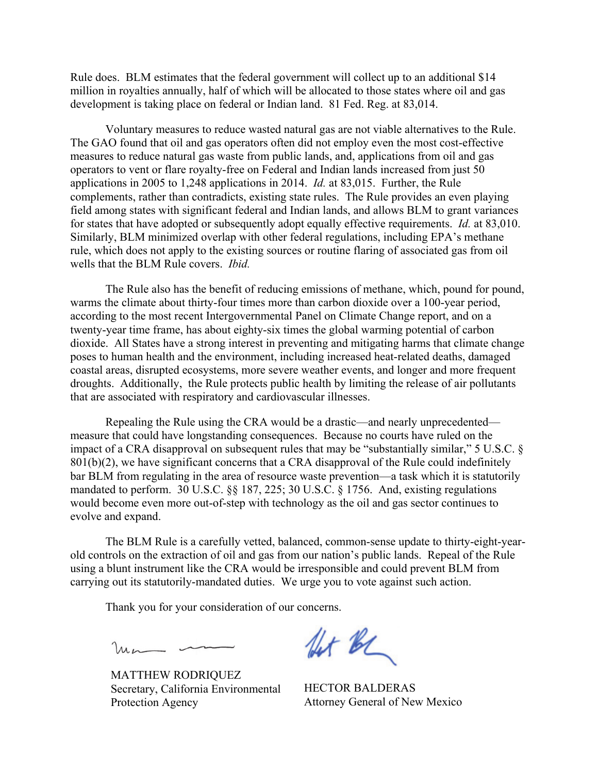Rule does. BLM estimates that the federal government will collect up to an additional \$14 million in royalties annually, half of which will be allocated to those states where oil and gas development is taking place on federal or Indian land. 81 Fed. Reg. at 83,014.

Voluntary measures to reduce wasted natural gas are not viable alternatives to the Rule. The GAO found that oil and gas operators often did not employ even the most cost-effective measures to reduce natural gas waste from public lands, and, applications from oil and gas operators to vent or flare royalty-free on Federal and Indian lands increased from just 50 applications in 2005 to 1,248 applications in 2014. *Id.* at 83,015. Further, the Rule complements, rather than contradicts, existing state rules. The Rule provides an even playing field among states with significant federal and Indian lands, and allows BLM to grant variances for states that have adopted or subsequently adopt equally effective requirements. *Id.* at 83,010. Similarly, BLM minimized overlap with other federal regulations, including EPA's methane rule, which does not apply to the existing sources or routine flaring of associated gas from oil wells that the BLM Rule covers. *Ibid.*

The Rule also has the benefit of reducing emissions of methane, which, pound for pound, warms the climate about thirty-four times more than carbon dioxide over a 100-year period, according to the most recent Intergovernmental Panel on Climate Change report, and on a twenty-year time frame, has about eighty-six times the global warming potential of carbon dioxide. All States have a strong interest in preventing and mitigating harms that climate change poses to human health and the environment, including increased heat-related deaths, damaged coastal areas, disrupted ecosystems, more severe weather events, and longer and more frequent droughts. Additionally, the Rule protects public health by limiting the release of air pollutants that are associated with respiratory and cardiovascular illnesses.

Repealing the Rule using the CRA would be a drastic—and nearly unprecedented measure that could have longstanding consequences. Because no courts have ruled on the impact of a CRA disapproval on subsequent rules that may be "substantially similar," 5 U.S.C. §  $801(b)(2)$ , we have significant concerns that a CRA disapproval of the Rule could indefinitely bar BLM from regulating in the area of resource waste prevention—a task which it is statutorily mandated to perform. 30 U.S.C. §§ 187, 225; 30 U.S.C. § 1756. And, existing regulations would become even more out-of-step with technology as the oil and gas sector continues to evolve and expand.

The BLM Rule is a carefully vetted, balanced, common-sense update to thirty-eight-yearold controls on the extraction of oil and gas from our nation's public lands. Repeal of the Rule using a blunt instrument like the CRA would be irresponsible and could prevent BLM from carrying out its statutorily-mandated duties. We urge you to vote against such action.

Thank you for your consideration of our concerns.

 $lmn$  -

MATTHEW RODRIQUEZ Secretary, California Environmental Protection Agency

for BC

HECTOR BALDERAS Attorney General of New Mexico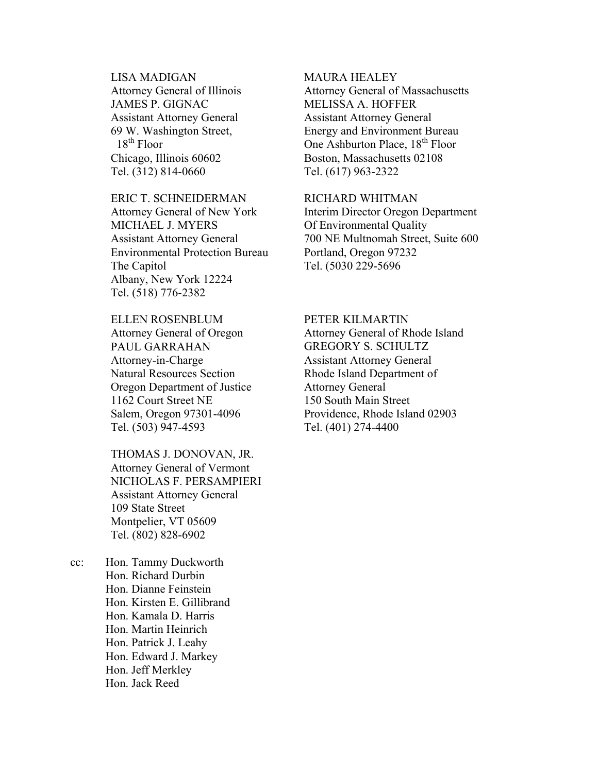LISA MADIGAN Attorney General of Illinois JAMES P. GIGNAC Assistant Attorney General 69 W. Washington Street,  $18<sup>th</sup>$  Floor Chicago, Illinois 60602 Tel. (312) 814-0660

# ERIC T. SCHNEIDERMAN Attorney General of New York MICHAEL J. MYERS Assistant Attorney General Environmental Protection Bureau The Capitol Albany, New York 12224 Tel. (518) 776-2382

ELLEN ROSENBLUM Attorney General of Oregon PAUL GARRAHAN Attorney-in-Charge Natural Resources Section Oregon Department of Justice 1162 Court Street NE Salem, Oregon 97301-4096 Tel. (503) 947-4593

THOMAS J. DONOVAN, JR. Attorney General of Vermont NICHOLAS F. PERSAMPIERI Assistant Attorney General 109 State Street Montpelier, VT 05609 Tel. (802) 828-6902

cc: Hon. Tammy Duckworth Hon. Richard Durbin Hon. Dianne Feinstein Hon. Kirsten E. Gillibrand Hon. Kamala D. Harris Hon. Martin Heinrich Hon. Patrick J. Leahy Hon. Edward J. Markey Hon. Jeff Merkley Hon. Jack Reed

### MAURA HEALEY

Attorney General of Massachusetts MELISSA A. HOFFER Assistant Attorney General Energy and Environment Bureau One Ashburton Place, 18<sup>th</sup> Floor Boston, Massachusetts 02108 Tel. (617) 963-2322

### RICHARD WHITMAN

Interim Director Oregon Department Of Environmental Quality 700 NE Multnomah Street, Suite 600 Portland, Oregon 97232 Tel. (5030 229-5696

#### PETER KILMARTIN

Attorney General of Rhode Island GREGORY S. SCHULTZ Assistant Attorney General Rhode Island Department of Attorney General 150 South Main Street Providence, Rhode Island 02903 Tel. (401) 274-4400